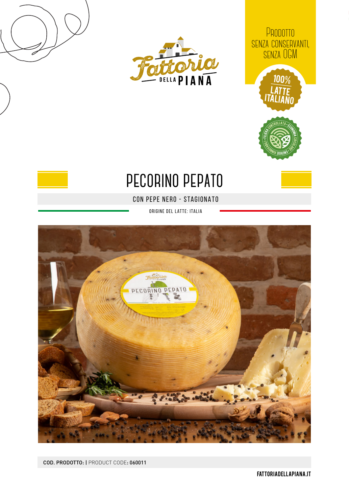



PRODOTTO senza conservanti, senza OGM





## **pecorino pepato**

con pepe nero - STAGIONATO

origine del latte: Italia



COD. PRODOTTO: | PRODUCT CODE: 060011